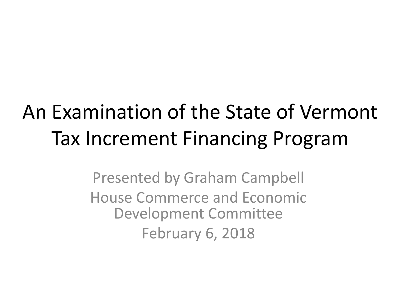#### An Examination of the State of Vermont Tax Increment Financing Program

Presented by Graham Campbell House Commerce and Economic Development Committee February 6, 2018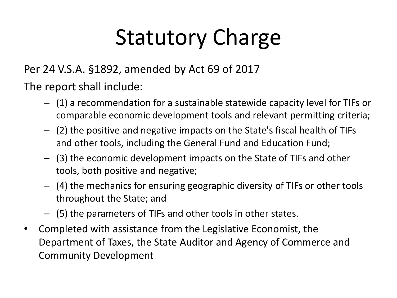# Statutory Charge

Per 24 V.S.A. §1892, amended by Act 69 of 2017

The report shall include:

- (1) a recommendation for a sustainable statewide capacity level for TIFs or comparable economic development tools and relevant permitting criteria;
- (2) the positive and negative impacts on the State's fiscal health of TIFs and other tools, including the General Fund and Education Fund;
- (3) the economic development impacts on the State of TIFs and other tools, both positive and negative;
- (4) the mechanics for ensuring geographic diversity of TIFs or other tools throughout the State; and
- (5) the parameters of TIFs and other tools in other states.
- Completed with assistance from the Legislative Economist, the Department of Taxes, the State Auditor and Agency of Commerce and Community Development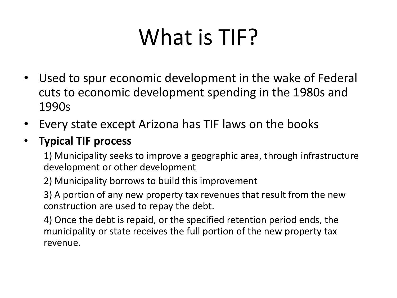## What is TIF?

- Used to spur economic development in the wake of Federal cuts to economic development spending in the 1980s and 1990s
- Every state except Arizona has TIF laws on the books

#### • **Typical TIF process**

1) Municipality seeks to improve a geographic area, through infrastructure development or other development

2) Municipality borrows to build this improvement

3) A portion of any new property tax revenues that result from the new construction are used to repay the debt.

4) Once the debt is repaid, or the specified retention period ends, the municipality or state receives the full portion of the new property tax revenue.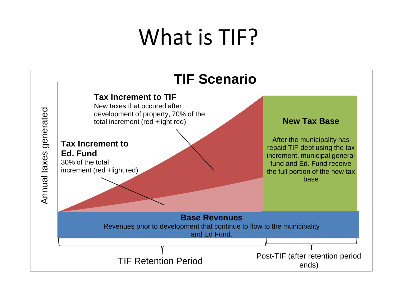#### What is TIF?

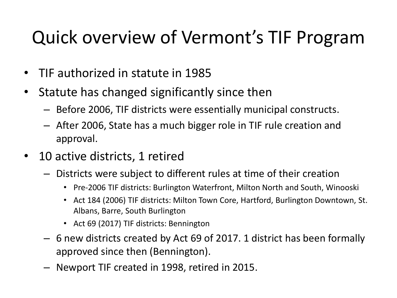#### Quick overview of Vermont's TIF Program

- TIF authorized in statute in 1985
- Statute has changed significantly since then
	- Before 2006, TIF districts were essentially municipal constructs.
	- After 2006, State has a much bigger role in TIF rule creation and approval.
- 10 active districts, 1 retired
	- Districts were subject to different rules at time of their creation
		- Pre-2006 TIF districts: Burlington Waterfront, Milton North and South, Winooski
		- Act 184 (2006) TIF districts: Milton Town Core, Hartford, Burlington Downtown, St. Albans, Barre, South Burlington
		- Act 69 (2017) TIF districts: Bennington
	- 6 new districts created by Act 69 of 2017. 1 district has been formally approved since then (Bennington).
	- Newport TIF created in 1998, retired in 2015.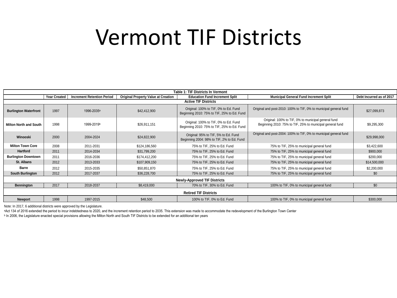#### Vermont TIF Districts

|                               |                     |                                   |                                            | <b>Table 1: TIF Districts In Vermont</b>                                             |                                                                                                                  |                          |
|-------------------------------|---------------------|-----------------------------------|--------------------------------------------|--------------------------------------------------------------------------------------|------------------------------------------------------------------------------------------------------------------|--------------------------|
|                               | <b>Year Created</b> | <b>Increment Retention Period</b> | <b>Original Property Value at Creation</b> | <b>Education Fund Increment Split</b>                                                | <b>Municipal General Fund Increment Split</b>                                                                    | Debt Incurred as of 2017 |
|                               |                     |                                   |                                            | <b>Active TIF Districts</b>                                                          |                                                                                                                  |                          |
| <b>Burlington Waterfront</b>  | 1997                | 1996-2035 <sup>a</sup>            | \$42,412,900                               | Original: 100% to TIF, 0% to Ed. Fund<br>Beginning 2010: 75% to TIF, 25% to Ed. Fund | Original and post-2010: 100% to TIF, 0% to municipal general fund                                                | \$27,099,873             |
| <b>Milton North and South</b> | 1998                | 1999-2019b                        | \$26,911,151                               | Original: 100% to TIF, 0% to Ed. Fund<br>Beginning 2010: 75% to TIF, 25% to Ed. Fund | Original: 100% to TIF, 0% to municipal general fund<br>Beginning 2010: 75% to TIF, 25% to municipal general fund | \$9,295,300              |
| Winooski                      | 2000                | 2004-2024                         | \$24,822,900                               | Original: 95% to TIF, 5% to Ed. Fund<br>Beginning 2004: 98% to TIF, 2% to Ed. Fund   | Original and post-2004: 100% to TIF, 0% to municipal general fund                                                | \$29,998,000             |
| <b>Milton Town Core</b>       | 2008                | 2011-2031                         | \$124,186,560                              | 75% to TIF, 25% to Ed. Fund                                                          | 75% to TIF, 25% to municipal general fund                                                                        | \$3,422,600              |
| <b>Hartford</b>               | 2011                | 2014-2034                         | \$31,799,200                               | 75% to TIF, 25% to Ed. Fund                                                          | 75% to TIF, 25% to municipal general fund                                                                        | \$900,000                |
| <b>Burlington Downtown</b>    | 2011                | 2016-2036                         | \$174.412.200                              | 75% to TIF, 25% to Ed. Fund                                                          | 75% to TIF, 25% to municipal general fund                                                                        | \$200,000                |
| St. Albans                    | 2012                | 2013-2033                         | \$107,909,150                              | 75% to TIF, 25% to Ed. Fund                                                          | 75% to TIF, 25% to municipal general fund                                                                        | \$14,500,000             |
| <b>Barre</b>                  | 2012                | 2015-2035                         | \$50,851,870                               | 75% to TIF, 25% to Ed. Fund                                                          | 75% to TIF, 25% to municipal general fund                                                                        | \$2,200,000              |
| South Burlington              | 2012                | 2017-2037                         | \$36,228,700                               | 75% to TIF, 25% to Ed. Fund                                                          | 75% to TIF, 25% to municipal general fund                                                                        | \$0                      |
|                               |                     |                                   |                                            | <b>Newly-Approved TIF Districts</b>                                                  |                                                                                                                  |                          |
| <b>Bennington</b>             | 2017                | 2018-2037                         | \$8,419,000                                | 70% to TIF, 30% to Ed. Fund                                                          | 100% to TIF, 0% to municipal general fund                                                                        | \$0                      |
|                               |                     |                                   |                                            | <b>Retired TIF Districts</b>                                                         |                                                                                                                  |                          |
| <b>Newport</b>                | 1998                | 1997-2015                         | \$48,500                                   | 100% to TIF, 0% to Ed. Fund                                                          | 100% to TIF, 0% to municipal general fund                                                                        | \$300,000                |

Note: In 2017, 6 additional districts were approved by the Legislature.

aAct 134 of 2016 extended the period to incur indebtedness to 2020, and the increment retention period to 2035. This extension was made to accommodate the redevelopment of the Burlington Town Center

ᵇ In 2006, the Legislature enacted special provisions allowing the Milton North and South TIF Districts to be extended for an additional ten years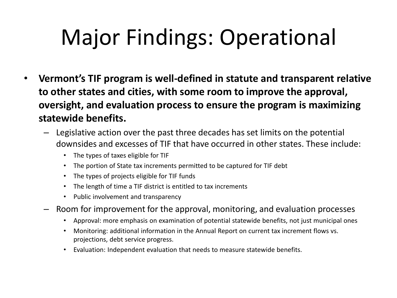## Major Findings: Operational

- **Vermont's TIF program is well-defined in statute and transparent relative to other states and cities, with some room to improve the approval, oversight, and evaluation process to ensure the program is maximizing statewide benefits.** 
	- Legislative action over the past three decades has set limits on the potential downsides and excesses of TIF that have occurred in other states. These include:
		- The types of taxes eligible for TIF
		- The portion of State tax increments permitted to be captured for TIF debt
		- The types of projects eligible for TIF funds
		- The length of time a TIF district is entitled to tax increments
		- Public involvement and transparency
	- Room for improvement for the approval, monitoring, and evaluation processes
		- Approval: more emphasis on examination of potential statewide benefits, not just municipal ones
		- Monitoring: additional information in the Annual Report on current tax increment flows vs. projections, debt service progress.
		- Evaluation: Independent evaluation that needs to measure statewide benefits.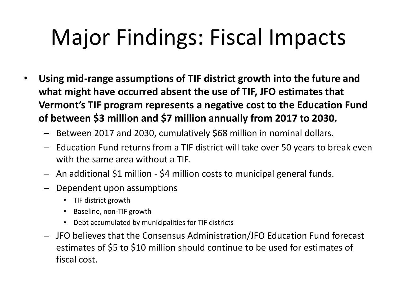### Major Findings: Fiscal Impacts

- **Using mid-range assumptions of TIF district growth into the future and what might have occurred absent the use of TIF, JFO estimates that Vermont's TIF program represents a negative cost to the Education Fund of between \$3 million and \$7 million annually from 2017 to 2030.** 
	- Between 2017 and 2030, cumulatively \$68 million in nominal dollars.
	- Education Fund returns from a TIF district will take over 50 years to break even with the same area without a TIF.
	- An additional \$1 million \$4 million costs to municipal general funds.
	- Dependent upon assumptions
		- TIF district growth
		- Baseline, non-TIF growth
		- Debt accumulated by municipalities for TIF districts
	- JFO believes that the Consensus Administration/JFO Education Fund forecast estimates of \$5 to \$10 million should continue to be used for estimates of fiscal cost.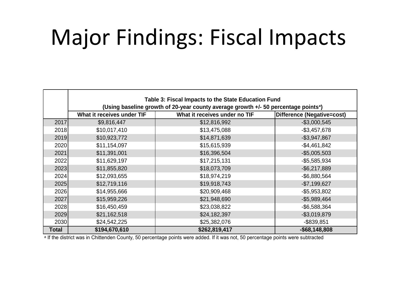#### Major Findings: Fiscal Impacts

|       | Table 3: Fiscal Impacts to the State Education Fund                                             |                               |                            |  |  |
|-------|-------------------------------------------------------------------------------------------------|-------------------------------|----------------------------|--|--|
|       | (Using baseline growth of 20-year county average growth +/- 50 percentage points <sup>a</sup> ) |                               |                            |  |  |
|       | What it receives under TIF                                                                      | What it receives under no TIF | Difference (Negative=cost) |  |  |
| 2017  | \$9,816,447                                                                                     | \$12,816,992                  | $-$3,000,545$              |  |  |
| 2018  | \$10,017,410                                                                                    | \$13,475,088                  | $-$3,457,678$              |  |  |
| 2019  | \$10,923,772                                                                                    | \$14,871,639                  | $-$3,947,867$              |  |  |
| 2020  | \$11,154,097                                                                                    | \$15,615,939                  | $-$ \$4,461,842            |  |  |
| 2021  | \$11,391,001                                                                                    | \$16,396,504                  | $-$5,005,503$              |  |  |
| 2022  | \$11,629,197                                                                                    | \$17,215,131                  | $-$5,585,934$              |  |  |
| 2023  | \$11,855,820                                                                                    | \$18,073,709                  | $-$ \$6,217,889            |  |  |
| 2024  | \$12,093,655                                                                                    | \$18,974,219                  | $-$6,880,564$              |  |  |
| 2025  | \$12,719,116                                                                                    | \$19,918,743                  | $-$7,199,627$              |  |  |
| 2026  | \$14,955,666                                                                                    | \$20,909,468                  | $-$5,953,802$              |  |  |
| 2027  | \$15,959,226                                                                                    | \$21,948,690                  | $-$5,989,464$              |  |  |
| 2028  | \$16,450,459                                                                                    | \$23,038,822                  | $-$ \$6,588,364            |  |  |
| 2029  | \$21,162,518                                                                                    | \$24,182,397                  | $-$3,019,879$              |  |  |
| 2030  | \$24,542,225                                                                                    | \$25,382,076                  | $-$ \$839,851              |  |  |
| Total | \$194,670,610                                                                                   | \$262,819,417                 | $-$ \$68,148,808           |  |  |

a If the district was in Chittenden County, 50 percentage points were added. If it was not, 50 percentage points were subtracted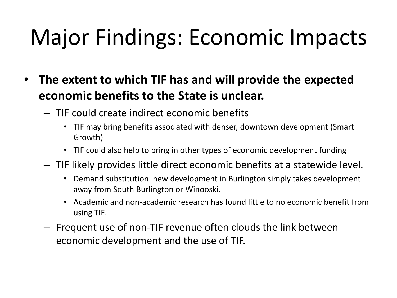# Major Findings: Economic Impacts

- **The extent to which TIF has and will provide the expected economic benefits to the State is unclear.** 
	- TIF could create indirect economic benefits
		- TIF may bring benefits associated with denser, downtown development (Smart Growth)
		- TIF could also help to bring in other types of economic development funding
	- TIF likely provides little direct economic benefits at a statewide level.
		- Demand substitution: new development in Burlington simply takes development away from South Burlington or Winooski.
		- Academic and non-academic research has found little to no economic benefit from using TIF.
	- Frequent use of non-TIF revenue often clouds the link between economic development and the use of TIF.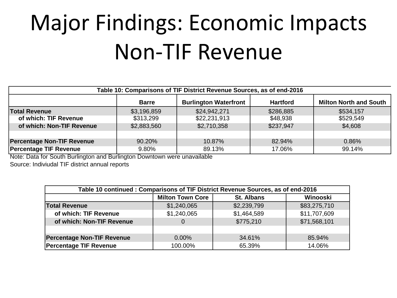# Major Findings: Economic Impacts Non-TIF Revenue

| Table 10: Comparisons of TIF District Revenue Sources, as of end-2016 |              |                              |                 |                               |
|-----------------------------------------------------------------------|--------------|------------------------------|-----------------|-------------------------------|
|                                                                       | <b>Barre</b> | <b>Burlington Waterfront</b> | <b>Hartford</b> | <b>Milton North and South</b> |
| <b>Total Revenue</b>                                                  | \$3,196,859  | \$24,942,271                 | \$286,885       | \$534,157                     |
| of which: TIF Revenue                                                 | \$313,299    | \$22,231,913                 | \$48,938        | \$529,549                     |
| of which: Non-TIF Revenue                                             | \$2,883,560  | \$2,710,358                  | \$237,947       | \$4,608                       |
|                                                                       |              |                              |                 |                               |
| <b>Percentage Non-TIF Revenue</b>                                     | 90.20%       | 10.87%                       | 82.94%          | 0.86%                         |
| <b>Percentage TIF Revenue</b>                                         | 9.80%        | 89.13%                       | 17.06%          | 99.14%                        |

Note: Data for South Burlington and Burlington Downtown were unavailable Source: Indiviudal TIF district annual reports

| Table 10 continued: Comparisons of TIF District Revenue Sources, as of end-2016 |                         |                   |              |
|---------------------------------------------------------------------------------|-------------------------|-------------------|--------------|
|                                                                                 | <b>Milton Town Core</b> | <b>St. Albans</b> | Winooski     |
| <b>Total Revenue</b>                                                            | \$1,240,065             | \$2,239,799       | \$83,275,710 |
| of which: TIF Revenue                                                           | \$1,240,065             | \$1,464,589       | \$11,707,609 |
| of which: Non-TIF Revenue                                                       | $\Omega$                | \$775,210         | \$71,568,101 |
|                                                                                 |                         |                   |              |
| <b>Percentage Non-TIF Revenue</b>                                               | 0.00%                   | 34.61%            | 85.94%       |
| <b>Percentage TIF Revenue</b>                                                   | 100.00%                 | 65.39%            | 14.06%       |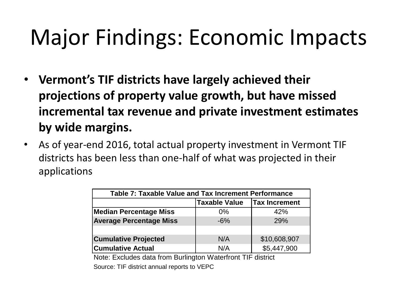## Major Findings: Economic Impacts

- **Vermont's TIF districts have largely achieved their projections of property value growth, but have missed incremental tax revenue and private investment estimates by wide margins.**
- As of year-end 2016, total actual property investment in Vermont TIF districts has been less than one-half of what was projected in their applications

| Table 7: Taxable Value and Tax Increment Performance |                      |                      |  |
|------------------------------------------------------|----------------------|----------------------|--|
|                                                      | <b>Taxable Value</b> | <b>Tax Increment</b> |  |
| <b>Median Percentage Miss</b>                        | $0\%$                | 42%                  |  |
| <b>Average Percentage Miss</b>                       | $-6%$                | 29%                  |  |
|                                                      |                      |                      |  |
| <b>Cumulative Projected</b>                          | N/A                  | \$10,608,907         |  |
| <b>Cumulative Actual</b>                             | N/A                  | \$5,447,900          |  |

Note: Excludes data from Burlington Waterfront TIF district Source: TIF district annual reports to VEPC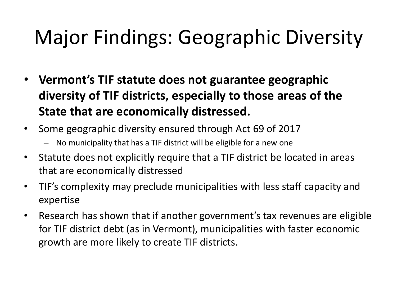#### Major Findings: Geographic Diversity

- **Vermont's TIF statute does not guarantee geographic diversity of TIF districts, especially to those areas of the State that are economically distressed.**
- Some geographic diversity ensured through Act 69 of 2017
	- No municipality that has a TIF district will be eligible for a new one
- Statute does not explicitly require that a TIF district be located in areas that are economically distressed
- TIF's complexity may preclude municipalities with less staff capacity and expertise
- Research has shown that if another government's tax revenues are eligible for TIF district debt (as in Vermont), municipalities with faster economic growth are more likely to create TIF districts.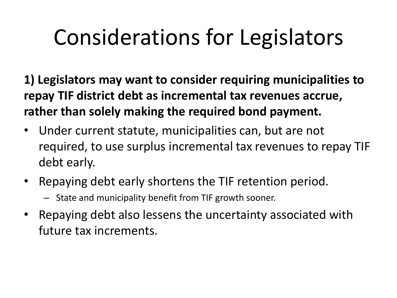**1) Legislators may want to consider requiring municipalities to repay TIF district debt as incremental tax revenues accrue, rather than solely making the required bond payment.** 

- Under current statute, municipalities can, but are not required, to use surplus incremental tax revenues to repay TIF debt early.
- Repaying debt early shortens the TIF retention period.
	- State and municipality benefit from TIF growth sooner.
- Repaying debt also lessens the uncertainty associated with future tax increments.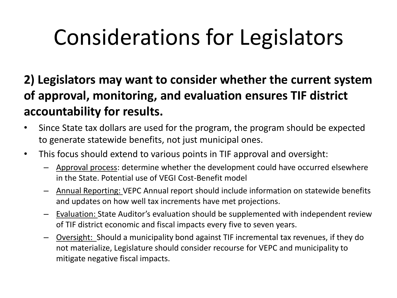**2) Legislators may want to consider whether the current system of approval, monitoring, and evaluation ensures TIF district accountability for results.** 

- Since State tax dollars are used for the program, the program should be expected to generate statewide benefits, not just municipal ones.
- This focus should extend to various points in TIF approval and oversight:
	- Approval process: determine whether the development could have occurred elsewhere in the State. Potential use of VEGI Cost-Benefit model
	- Annual Reporting: VEPC Annual report should include information on statewide benefits and updates on how well tax increments have met projections.
	- Evaluation: State Auditor's evaluation should be supplemented with independent review of TIF district economic and fiscal impacts every five to seven years.
	- Oversight: Should a municipality bond against TIF incremental tax revenues, if they do not materialize, Legislature should consider recourse for VEPC and municipality to mitigate negative fiscal impacts.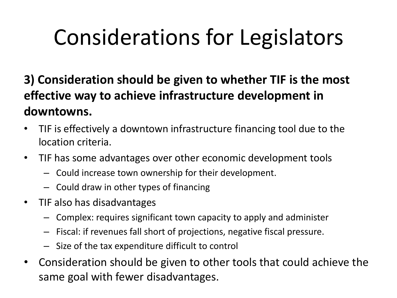**3) Consideration should be given to whether TIF is the most effective way to achieve infrastructure development in downtowns.** 

- TIF is effectively a downtown infrastructure financing tool due to the location criteria.
- TIF has some advantages over other economic development tools
	- Could increase town ownership for their development.
	- Could draw in other types of financing
- TIF also has disadvantages
	- Complex: requires significant town capacity to apply and administer
	- Fiscal: if revenues fall short of projections, negative fiscal pressure.
	- Size of the tax expenditure difficult to control
- Consideration should be given to other tools that could achieve the same goal with fewer disadvantages.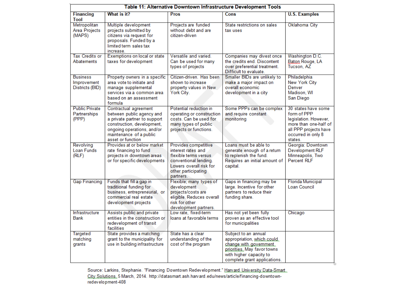|                                                   |                                                                                                                                                                                                |                                                                                                                                                             | Table 11: Alternative Downtown Infrastructure Development Tools                                                                                                        |                                                                                                                                                |
|---------------------------------------------------|------------------------------------------------------------------------------------------------------------------------------------------------------------------------------------------------|-------------------------------------------------------------------------------------------------------------------------------------------------------------|------------------------------------------------------------------------------------------------------------------------------------------------------------------------|------------------------------------------------------------------------------------------------------------------------------------------------|
| <b>Financing</b><br>Tool                          | What is it?                                                                                                                                                                                    | Pros                                                                                                                                                        | Cons                                                                                                                                                                   | <b>U.S. Examples</b>                                                                                                                           |
| Metropolitan<br>Area Projects<br>(MAPS)           | Multiple development<br>projects submitted by<br>citizens via request for<br>proposals. Funded by a<br>limited term sales tax<br>increase.                                                     | Projects are funded<br>without debt and are<br>citizen-driven                                                                                               | State restrictions on sales<br>tax uses                                                                                                                                | Oklahoma City                                                                                                                                  |
| Tax Credits or<br><b>Abatements</b>               | Exemptions on local or state<br>taxes for development                                                                                                                                          | Versatile and varied.<br>Can be used for many<br>types of projects                                                                                          | Companies may divest once<br>the credits end. Discontent<br>over preferential treatment.<br>Difficult to evaluate.                                                     | Washington D.C.<br>Baton Rouge, LA<br>Tucson, AZ                                                                                               |
| <b>Business</b><br>Improvement<br>Districts (BID) | Property owners in a specific<br>area vote to initiate and<br>manage supplemental<br>services via a common area<br>based on an assessment<br>formula                                           | Citizen-driven. Has been<br>shown to increase<br>property values in New<br>York City.                                                                       | Smaller BIDs are unlikely to<br>make a major impact on<br>overall economic<br>development in a city                                                                    | Philadelphia<br>New York City<br>Denver<br>Madison, WI<br>San Diego                                                                            |
| <b>Public Private</b><br>Partnerships<br>(PPP)    | Contractual agreement<br>between public agency and<br>a private partner to support<br>construction, development,<br>ongoing operations, and/or<br>maintenance of a public<br>asset or function | Potential reduction in<br>operating or construction<br>costs. Can be used for<br>many types of public<br>projects or functions.                             | Some PPPs can be complex<br>and require constant<br>monitoring                                                                                                         | 30 states have some<br>form of PPP<br>legislation. However,<br>more than one-half of<br>all PPP projects have<br>occurred in only 8<br>states. |
| Revolving<br>Loan Funds<br>(RLF)                  | Provides at or below market<br>rate financing to fund<br>projects in downtown areas<br>or for specific developments                                                                            | Provides competitive<br>interest rates and<br>flexible terms versus<br>conventional lending.<br>Lowers overall risk for<br>other participating<br>partners. | Loans must be able to<br>generate enough of a return<br>to replenish the fund.<br>Requires an initial amount of<br>capital.                                            | Georgia: Downtown<br>Development RLF<br>Minneapolis, Two<br><b>Percent RLF</b>                                                                 |
| <b>Gap Financing</b>                              | Funds that fill a gap in<br>traditional funding for<br>business, entrepreneurial, or<br>commercial real estate<br>development projects                                                         | Flexible; many types of<br>development<br>projects/costs are<br>eligible. Reduces overall<br>risk for other<br>development partners.                        | Gaps in financing may be<br>large. Incentive for other<br>partners to reduce their<br>funding share.                                                                   | <b>Florida Municipal</b><br>Loan Council                                                                                                       |
| Infrastructure<br>Bank                            | Assists public and private<br>entities in the construction or<br>redevelopment of transit<br>facilities                                                                                        | Low rate, fixed-term<br>loans at favorable terms                                                                                                            | Has not yet been fully<br>proven as an effective tool<br>for municipalities                                                                                            | Chicago                                                                                                                                        |
| Targeted<br>matching<br>grants                    | State provides a matching<br>grant to the municipality for<br>use in building infrastructure                                                                                                   | State has a clear<br>understanding of the<br>cost of the program                                                                                            | Subject to an annual<br>appropriation, which could<br>change with government<br>priorities. May favor towns<br>with higher capacity to<br>complete grant applications. |                                                                                                                                                |

Source: Larkins, Stephanie. "Financing Downtown Redevelopment." <u>Harvard University Data-Smart.</u><br><u>City Solutions.</u> 5 March, 2014. http://datasmart.ash.harvard.edu/news/article/financing-downtown-<br>redevelopment-408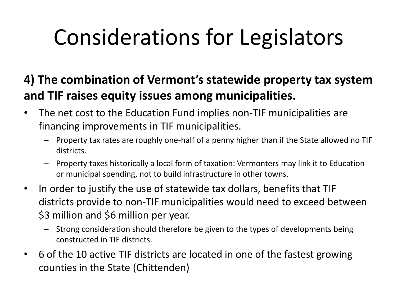#### **4) The combination of Vermont's statewide property tax system and TIF raises equity issues among municipalities.**

- The net cost to the Education Fund implies non-TIF municipalities are financing improvements in TIF municipalities.
	- Property tax rates are roughly one-half of a penny higher than if the State allowed no TIF districts.
	- Property taxes historically a local form of taxation: Vermonters may link it to Education or municipal spending, not to build infrastructure in other towns.
- In order to justify the use of statewide tax dollars, benefits that TIF districts provide to non-TIF municipalities would need to exceed between \$3 million and \$6 million per year.
	- Strong consideration should therefore be given to the types of developments being constructed in TIF districts.
- 6 of the 10 active TIF districts are located in one of the fastest growing counties in the State (Chittenden)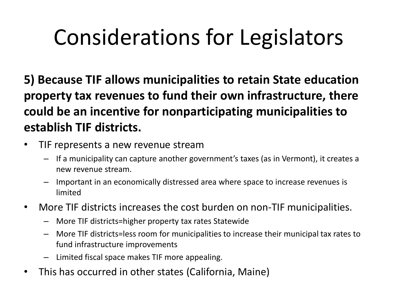**5) Because TIF allows municipalities to retain State education property tax revenues to fund their own infrastructure, there could be an incentive for nonparticipating municipalities to establish TIF districts.** 

- TIF represents a new revenue stream
	- If a municipality can capture another government's taxes (as in Vermont), it creates a new revenue stream.
	- Important in an economically distressed area where space to increase revenues is limited
- More TIF districts increases the cost burden on non-TIF municipalities.
	- More TIF districts=higher property tax rates Statewide
	- More TIF districts=less room for municipalities to increase their municipal tax rates to fund infrastructure improvements
	- Limited fiscal space makes TIF more appealing.
- This has occurred in other states (California, Maine)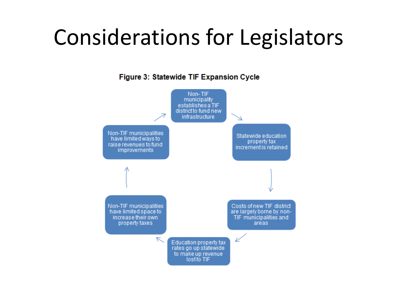